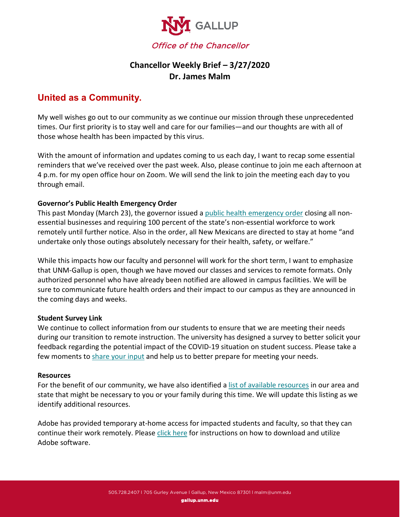

## **Chancellor Weekly Brief – 3/27/2020 Dr. James Malm**

# **United as a Community.**

My well wishes go out to our community as we continue our mission through these unprecedented times. Our first priority is to stay well and care for our families—and our thoughts are with all of those whose health has been impacted by this virus.

With the amount of information and updates coming to us each day, I want to recap some essential reminders that we've received over the past week. Also, please continue to join me each afternoon at 4 p.m. for my open office hour on Zoom. We will send the link to join the meeting each day to you through email.

## **Governor's Public Health Emergency Order**

This past Monday (March 23), the governor issued a [public health emergency order](https://cv.nmhealth.org/wp-content/uploads/2020/03/SignedPHO03-24-2019.pdf) closing all nonessential businesses and requiring 100 percent of the state's non-essential workforce to work remotely until further notice. Also in the order, all New Mexicans are directed to stay at home "and undertake only those outings absolutely necessary for their health, safety, or welfare."

While this impacts how our faculty and personnel will work for the short term, I want to emphasize that UNM-Gallup is open, though we have moved our classes and services to remote formats. Only authorized personnel who have already been notified are allowed in campus facilities. We will be sure to communicate future health orders and their impact to our campus as they are announced in the coming days and weeks.

## **Student Survey Link**

We continue to collect information from our students to ensure that we are meeting their needs during our transition to remote instruction. The university has designed a survey to better solicit your feedback regarding the potential impact of the COVID-19 situation on student success. Please take a few moments to [share your input](https://esurvey.unm.edu/opinio/s?s=119505) and help us to better prepare for meeting your needs.

## **Resources**

For the benefit of our community, we have also identified a [list of available resources](https://gallup.unm.edu/news/community-resource-listing.php) in our area and state that might be necessary to you or your family during this time. We will update this listing as we identify additional resources.

Adobe has provided temporary at-home access for impacted students and faculty, so that they can continue their work remotely. Please [click here](https://gallup.unm.edu/news/adobe-access-for-faculty-and-staff.php) for instructions on how to download and utilize Adobe software.